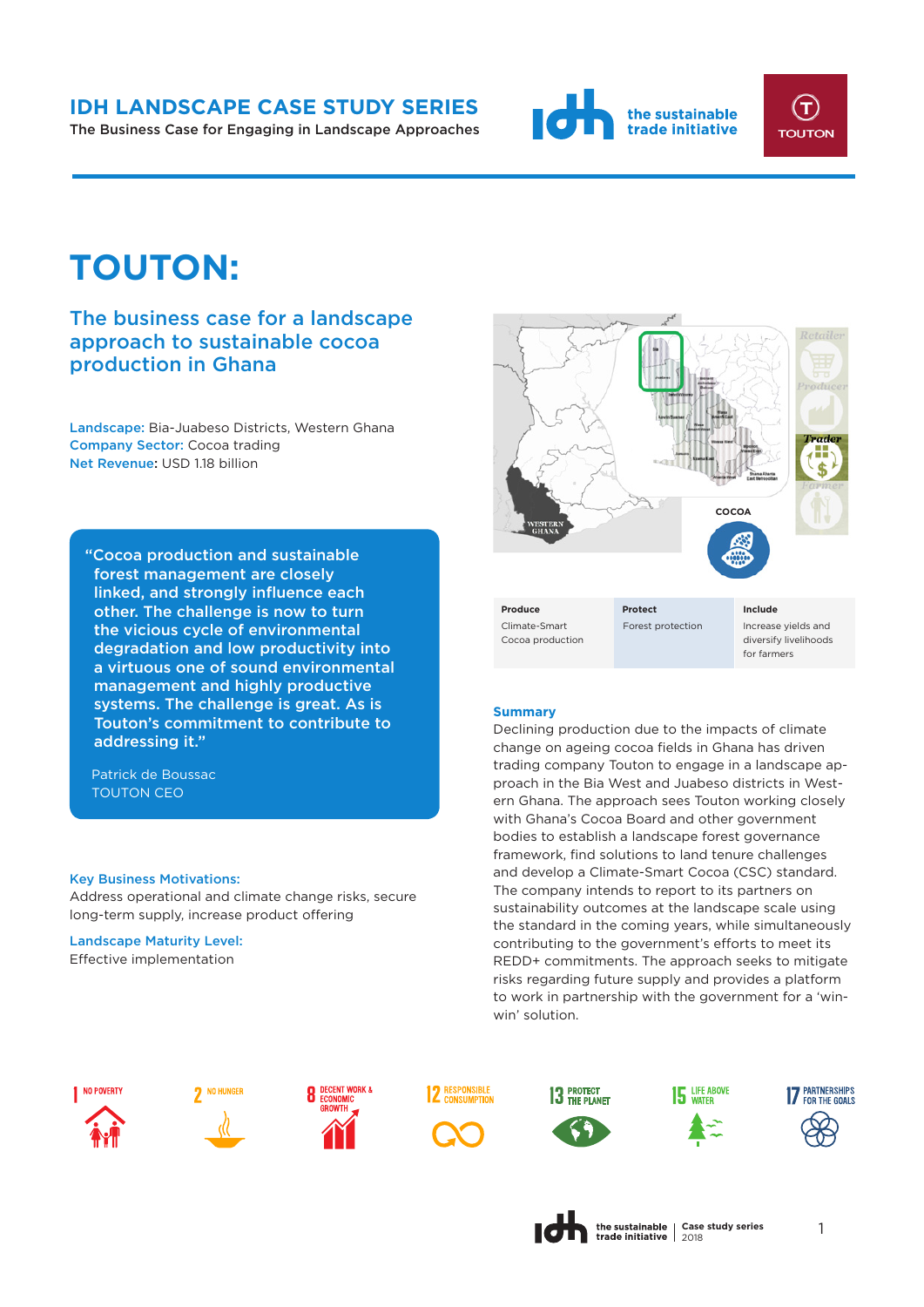## **IDH LANDSCAPE CASE STUDY SERIES**

The Business Case for Engaging in Landscape Approaches





# **TOUTON:**

# The business case for a landscape approach to sustainable cocoa production in Ghana

Landscape: Bia-Juabeso Districts, Western Ghana Company Sector: Cocoa trading Net Revenue: USD 1.18 billion

"Cocoa production and sustainable forest management are closely linked, and strongly influence each other. The challenge is now to turn the vicious cycle of environmental degradation and low productivity into a virtuous one of sound environmental management and highly productive systems. The challenge is great. As is Touton's commitment to contribute to addressing it."

Patrick de Boussac TOUTON CEO

#### Key Business Motivations:

Address operational and climate change risks, secure long-term supply, increase product offering

Landscape Maturity Level: Effective implementation



Climate-Smart Cocoa production

**Produce Protect Include**

Forest protection Increase yields and diversify livelihoods for farmers

#### **Summary**

Declining production due to the impacts of climate change on ageing cocoa fields in Ghana has driven trading company Touton to engage in a landscape approach in the Bia West and Juabeso districts in Western Ghana. The approach sees Touton working closely with Ghana's Cocoa Board and other government bodies to establish a landscape forest governance framework, find solutions to land tenure challenges and develop a Climate-Smart Cocoa (CSC) standard. The company intends to report to its partners on sustainability outcomes at the landscape scale using the standard in the coming years, while simultaneously contributing to the government's efforts to meet its REDD+ commitments. The approach seeks to mitigate risks regarding future supply and provides a platform to work in partnership with the government for a 'winwin' solution.



















**Case study series** 1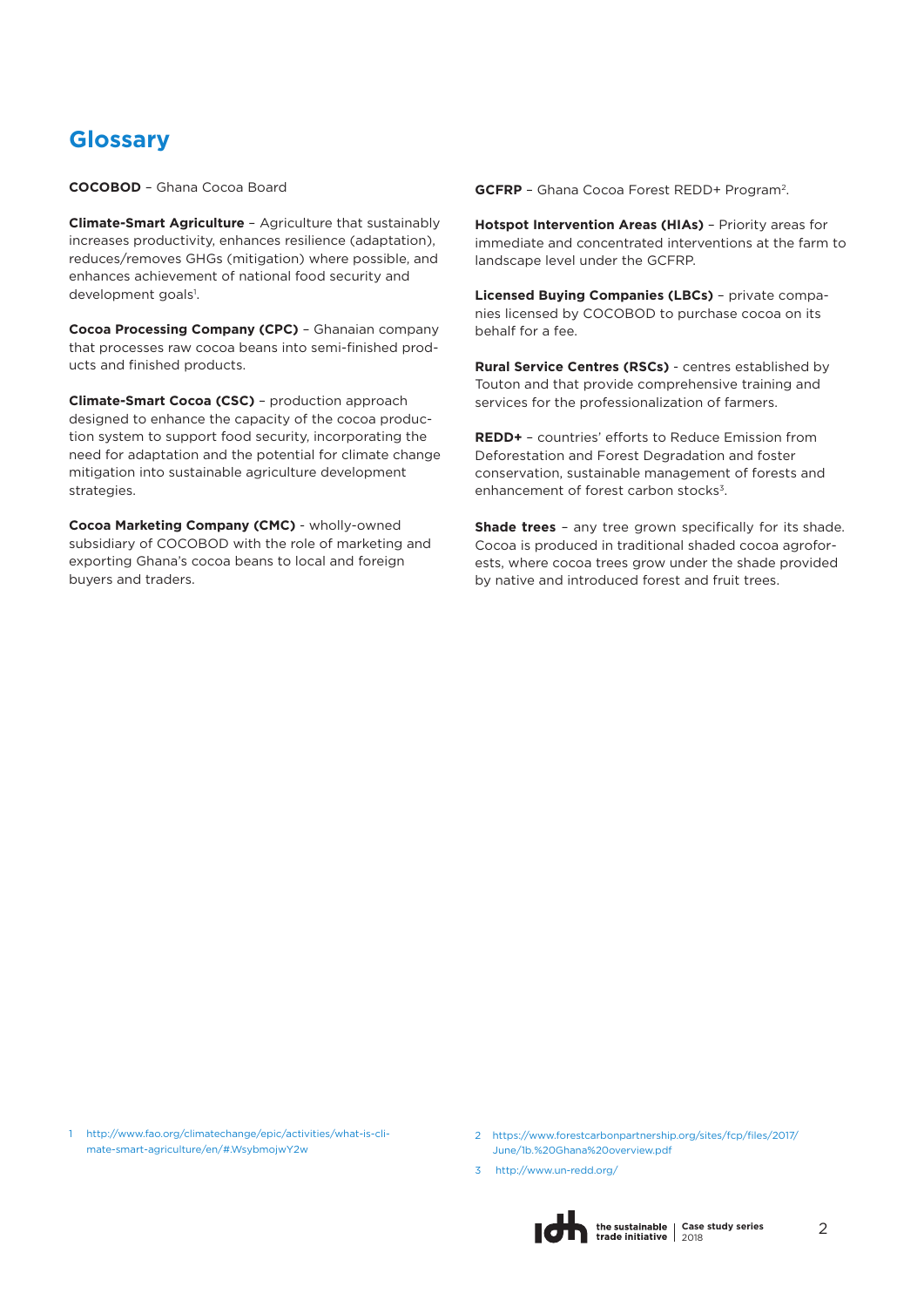# **Glossary**

**COCOBOD** – Ghana Cocoa Board

**Climate-Smart Agriculture** – Agriculture that sustainably increases productivity, enhances resilience (adaptation), reduces/removes GHGs (mitigation) where possible, and enhances achievement of national food security and development goals<sup>1</sup>.

**Cocoa Processing Company (CPC)** – Ghanaian company that processes raw cocoa beans into semi-finished products and finished products.

**Climate-Smart Cocoa (CSC)** – production approach designed to enhance the capacity of the cocoa production system to support food security, incorporating the need for adaptation and the potential for climate change mitigation into sustainable agriculture development strategies.

**Cocoa Marketing Company (CMC)** - wholly-owned subsidiary of COCOBOD with the role of marketing and exporting Ghana's cocoa beans to local and foreign buyers and traders.

**GCFRP** – Ghana Cocoa Forest REDD+ Program<sup>2</sup> .

**Hotspot Intervention Areas (HIAs)** – Priority areas for immediate and concentrated interventions at the farm to landscape level under the GCFRP.

**Licensed Buying Companies (LBCs)** – private companies licensed by COCOBOD to purchase cocoa on its behalf for a fee.

**Rural Service Centres (RSCs)** - centres established by Touton and that provide comprehensive training and services for the professionalization of farmers.

**REDD+** – countries' efforts to Reduce Emission from Deforestation and Forest Degradation and foster conservation, sustainable management of forests and enhancement of forest carbon stocks<sup>3</sup>.

**Shade trees** - any tree grown specifically for its shade. Cocoa is produced in traditional shaded cocoa agroforests, where cocoa trees grow under the shade provided by native and introduced forest and fruit trees.

1 [http://www.fao.org/climatechange/epic/activities/what-is-cli](http://www.fao.org/climatechange/epic/activities/what-is-climate-)mate-smart-agriculture/en/#.WsybmojwY2w

- 2 <https://www.forestcarbonpartnership.org/sites/fcp/files/2017/> June/1b.%20Ghana%20overview.pdf
- [3 http://www.un-redd.org/](http://www.un-redd.org/)

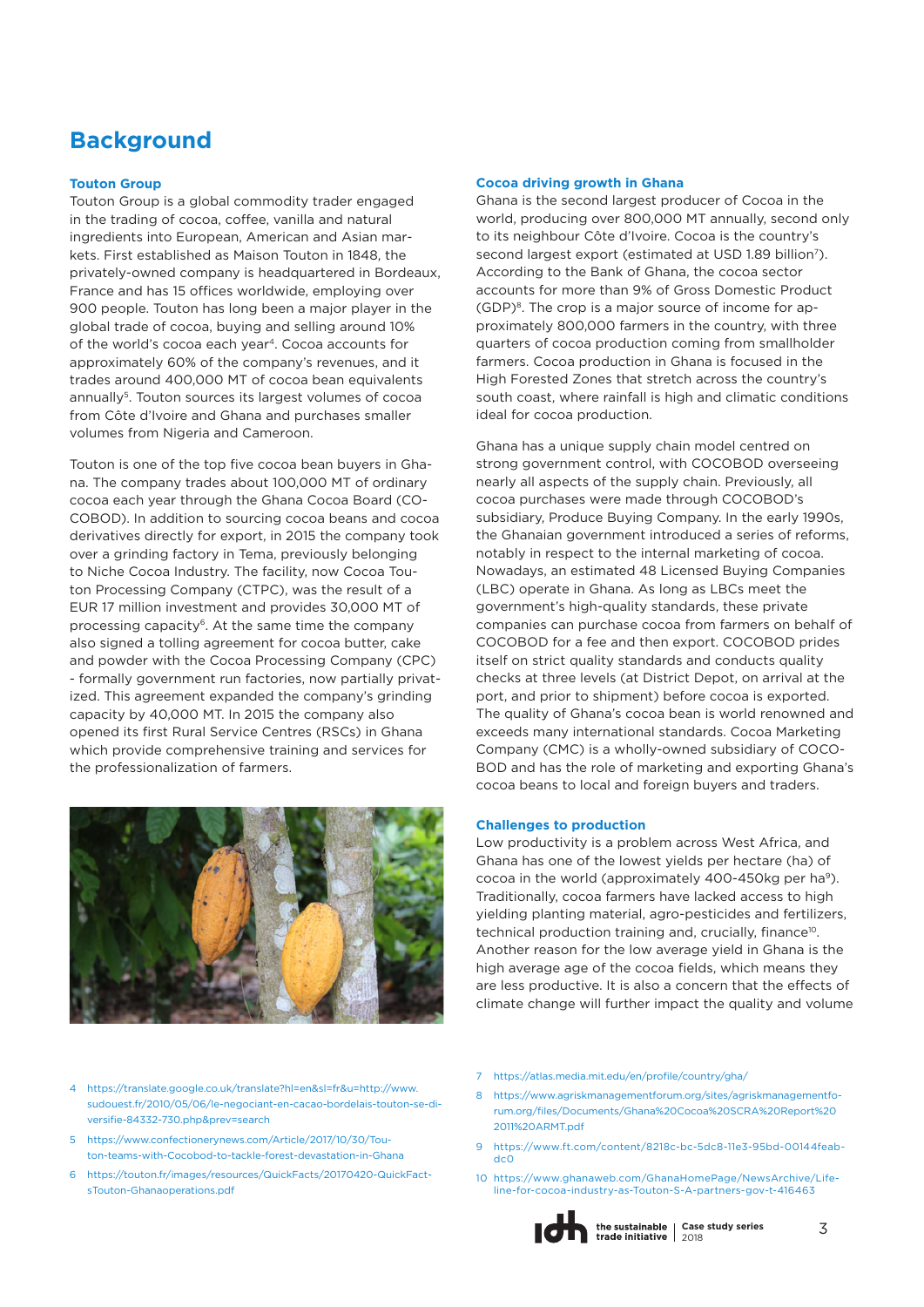# **Background**

#### **Touton Group**

Touton Group is a global commodity trader engaged in the trading of cocoa, coffee, vanilla and natural ingredients into European, American and Asian markets. First established as Maison Touton in 1848, the privately-owned company is headquartered in Bordeaux, France and has 15 offices worldwide, employing over 900 people. Touton has long been a major player in the global trade of cocoa, buying and selling around 10% of the world's cocoa each year4. Cocoa accounts for approximately 60% of the company's revenues, and it trades around 400,000 MT of cocoa bean equivalents annually<sup>5</sup>. Touton sources its largest volumes of cocoa from Côte d'Ivoire and Ghana and purchases smaller volumes from Nigeria and Cameroon.

Touton is one of the top five cocoa bean buyers in Ghana. The company trades about 100,000 MT of ordinary cocoa each year through the Ghana Cocoa Board (CO-COBOD). In addition to sourcing cocoa beans and cocoa derivatives directly for export, in 2015 the company took over a grinding factory in Tema, previously belonging to Niche Cocoa Industry. The facility, now Cocoa Touton Processing Company (CTPC), was the result of a EUR 17 million investment and provides 30,000 MT of processing capacity<sup>6</sup>. At the same time the company also signed a tolling agreement for cocoa butter, cake and powder with the Cocoa Processing Company (CPC) - formally government run factories, now partially privatized. This agreement expanded the company's grinding capacity by 40,000 MT. In 2015 the company also opened its first Rural Service Centres (RSCs) in Ghana which provide comprehensive training and services for the professionalization of farmers.



#### **Cocoa driving growth in Ghana**

Ghana is the second largest producer of Cocoa in the world, producing over 800,000 MT annually, second only to its neighbour Côte d'Ivoire. Cocoa is the country's second largest export (estimated at USD 1.89 billion<sup>7</sup>). According to the Bank of Ghana, the cocoa sector accounts for more than 9% of Gross Domestic Product (GDP)8. The crop is a major source of income for approximately 800,000 farmers in the country, with three quarters of cocoa production coming from smallholder farmers. Cocoa production in Ghana is focused in the High Forested Zones that stretch across the country's south coast, where rainfall is high and climatic conditions ideal for cocoa production.

Ghana has a unique supply chain model centred on strong government control, with COCOBOD overseeing nearly all aspects of the supply chain. Previously, all cocoa purchases were made through COCOBOD's subsidiary, Produce Buying Company. In the early 1990s, the Ghanaian government introduced a series of reforms, notably in respect to the internal marketing of cocoa. Nowadays, an estimated 48 Licensed Buying Companies (LBC) operate in Ghana. As long as LBCs meet the government's high-quality standards, these private companies can purchase cocoa from farmers on behalf of COCOBOD for a fee and then export. COCOBOD prides itself on strict quality standards and conducts quality checks at three levels (at District Depot, on arrival at the port, and prior to shipment) before cocoa is exported. The quality of Ghana's cocoa bean is world renowned and exceeds many international standards. Cocoa Marketing Company (CMC) is a wholly-owned subsidiary of COCO-BOD and has the role of marketing and exporting Ghana's cocoa beans to local and foreign buyers and traders.

#### **Challenges to production**

Low productivity is a problem across West Africa, and Ghana has one of the lowest yields per hectare (ha) of cocoa in the world (approximately 400-450kg per ha<sup>9</sup>). Traditionally, cocoa farmers have lacked access to high yielding planting material, agro-pesticides and fertilizers, technical production training and, crucially, finance<sup>10</sup>. Another reason for the low average yield in Ghana is the high average age of the cocoa fields, which means they are less productive. It is also a concern that the effects of climate change will further impact the quality and volume

- 4 https://translate.google.co.uk/translate?hl=en&sl=fr&u=http://www. [sudouest.fr/2010/05/06/le-negociant-en-cacao-bordelais-touton-se-di](https://translate.google.co.uk/translate?hl=en&sl=fr&u=http://www.sudouest.fr/2010/05/06/le-negociant-en-cacao-bordelais-touton-se-diversifie-84332-730.php&prev=search)versifie-84332-730.php&prev=search
- 5 https://www.confectionerynews.com/Article/2017/10/30/Tou[ton-teams-with-Cocobod-to-tackle-forest-devastation-in-Ghana](https://www.confectionerynews.com/Article/2017/10/30/Touton-teams-with-Cocobod-to-tackle-forest-devastation-in-Ghana)
- 6 [https://touton.fr/images/resources/QuickFacts/20170420-QuickFact](https://touton.fr/images/resources/QuickFacts/20170420-QuickFactsTouton-Ghanaoperations.pdf)sTouton-Ghanaoperations.pdf
- 7 <https://atlas.media.mit.edu/en/profile/country/gha/>
- 8 [https://www.agriskmanagementforum.org/sites/agriskmanagementfo](https://www.agriskmanagementforum.org/sites/agriskmanagementforum.org/files/Documents/Ghana%20Cocoa%20SCRA%20Report%202011%20ARMT.pdf)rum.org/files/Documents/Ghana%20Cocoa%20SCRA%20Report%20 2011%20ARMT.pdf
- 9 [https://www.ft.com/content/8218c-bc-5dc8-11e3-95bd-00144feab](https://www.ft.com/content/8218c-bc-5dc8-11e3-95bd-00144feabdc0)dc0
- 10 [https://www.ghanaweb.com/GhanaHomePage/NewsArchive/Life](https://www.ghanaweb.com/GhanaHomePage/NewsArchive/Lifeline-for-cocoa-industry-as-Touton-S-A-partners-gov-t-416463)line-for-cocoa-industry-as-Touton-S-A-partners-gov-t-416463

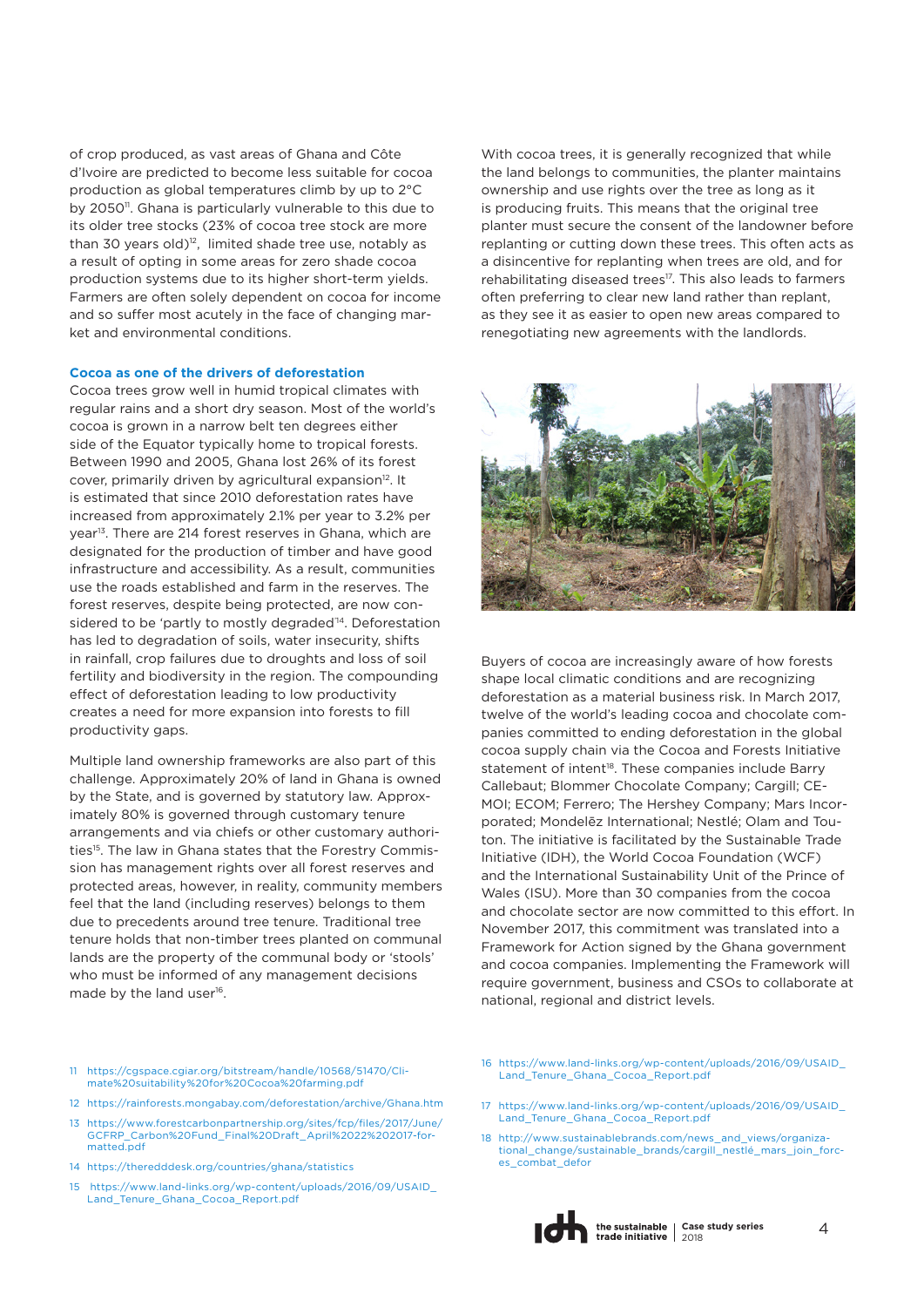of crop produced, as vast areas of Ghana and Côte d'Ivoire are predicted to become less suitable for cocoa production as global temperatures climb by up to 2°C by 2050<sup>11</sup>. Ghana is particularly vulnerable to this due to its older tree stocks (23% of cocoa tree stock are more than 30 years old) $12$ , limited shade tree use, notably as a result of opting in some areas for zero shade cocoa production systems due to its higher short-term yields. Farmers are often solely dependent on cocoa for income and so suffer most acutely in the face of changing market and environmental conditions.

#### **Cocoa as one of the drivers of deforestation**

Cocoa trees grow well in humid tropical climates with regular rains and a short dry season. Most of the world's cocoa is grown in a narrow belt ten degrees either side of the Equator typically home to tropical forests. Between 1990 and 2005, Ghana lost 26% of its forest cover, primarily driven by agricultural expansion<sup>12</sup>. It is estimated that since 2010 deforestation rates have increased from approximately 2.1% per year to 3.2% per year<sup>13</sup>. There are 214 forest reserves in Ghana, which are designated for the production of timber and have good infrastructure and accessibility. As a result, communities use the roads established and farm in the reserves. The forest reserves, despite being protected, are now considered to be 'partly to mostly degraded<sup>'14</sup>. Deforestation has led to degradation of soils, water insecurity, shifts in rainfall, crop failures due to droughts and loss of soil fertility and biodiversity in the region. The compounding effect of deforestation leading to low productivity creates a need for more expansion into forests to fill productivity gaps.

Multiple land ownership frameworks are also part of this challenge. Approximately 20% of land in Ghana is owned by the State, and is governed by statutory law. Approximately 80% is governed through customary tenure arrangements and via chiefs or other customary authorities<sup>15</sup>. The law in Ghana states that the Forestry Commission has management rights over all forest reserves and protected areas, however, in reality, community members feel that the land (including reserves) belongs to them due to precedents around tree tenure. Traditional tree tenure holds that non-timber trees planted on communal lands are the property of the communal body or 'stools' who must be informed of any management decisions made by the land user<sup>16</sup>.

With cocoa trees, it is generally recognized that while the land belongs to communities, the planter maintains ownership and use rights over the tree as long as it is producing fruits. This means that the original tree planter must secure the consent of the landowner before replanting or cutting down these trees. This often acts as a disincentive for replanting when trees are old, and for rehabilitating diseased trees<sup>17</sup>. This also leads to farmers often preferring to clear new land rather than replant, as they see it as easier to open new areas compared to renegotiating new agreements with the landlords.



Buyers of cocoa are increasingly aware of how forests shape local climatic conditions and are recognizing deforestation as a material business risk. In March 2017, twelve of the world's leading cocoa and chocolate companies committed to ending deforestation in the global cocoa supply chain via the Cocoa and Forests Initiative statement of intent<sup>18</sup>. These companies include Barry Callebaut; Blommer Chocolate Company; Cargill; CE-MOI; ECOM; Ferrero; The Hershey Company; Mars Incorporated; Mondelēz International; Nestlé; Olam and Touton. The initiative is facilitated by the Sustainable Trade Initiative (IDH), the World Cocoa Foundation (WCF) and the International Sustainability Unit of the Prince of Wales (ISU). More than 30 companies from the cocoa and chocolate sector are now committed to this effort. In November 2017, this commitment was translated into a Framework for Action signed by the Ghana government and cocoa companies. Implementing the Framework will require government, business and CSOs to collaborate at national, regional and district levels.

- 11 [https://cgspace.cgiar.org/bitstream/handle/10568/51470/Cli](https://cgspace.cgiar.org/bitstream/handle/10568/51470/Climate%20suitability%20for%20Cocoa%20farming.pdf)mate%20suitability%20for%20Cocoa%20farming.pdf
- 12 <https://rainforests.mongabay.com/deforestation/archive/Ghana.htm>
- 13 [https://www.forestcarbonpartnership.org/sites/fcp/files/2017/June/](https://www.forestcarbonpartnership.org/sites/fcp/files/2017/June/GCFRP_Carbon%20Fund_Final%20Draft_April%2022%202017-formatted.pdf) GCFRP\_Carbon%20Fund\_Final%20Draft\_April%2022%202017-formatted.pdf
- 14 <https://theredddesk.org/countries/ghana/statistics>
- [15 https://www.land-links.org/wp-content/uploads/2016/09/USAID\\_](https://www.land-links.org/wp-content/uploads/2016/09/USAID_Land_Tenure_Ghana_Cocoa_Report.pdf) Land\_Tenure\_Ghana\_Cocoa\_Report.pdf
- 16 [https://www.land-links.org/wp-content/uploads/2016/09/USAID\\_](https://www.land-links.org/wp-content/uploads/2016/09/USAID_Land_Tenure_Ghana_Cocoa_Report.pdf) Land\_Tenure\_Ghana\_Cocoa\_Report.pdf
- 17 [https://www.land-links.org/wp-content/uploads/2016/09/USAID\\_](https://www.land-links.org/wp-content/uploads/2016/09/USAID_Land_Tenure_Ghana_Cocoa_Report.pdf) Land\_Tenure\_Ghana\_Cocoa\_Report.pdf
- 18 http://www.sustainablebrands.com/news\_and\_views/organiza[tional\\_change/sustainable\\_brands/cargill\\_nestlé\\_mars\\_join\\_forc](http://www.sustainablebrands.com/news_and_views/organizational_change/sustainable_brands/cargill_nestl�_mars_join_forces_combat_defor)es\_combat\_defor

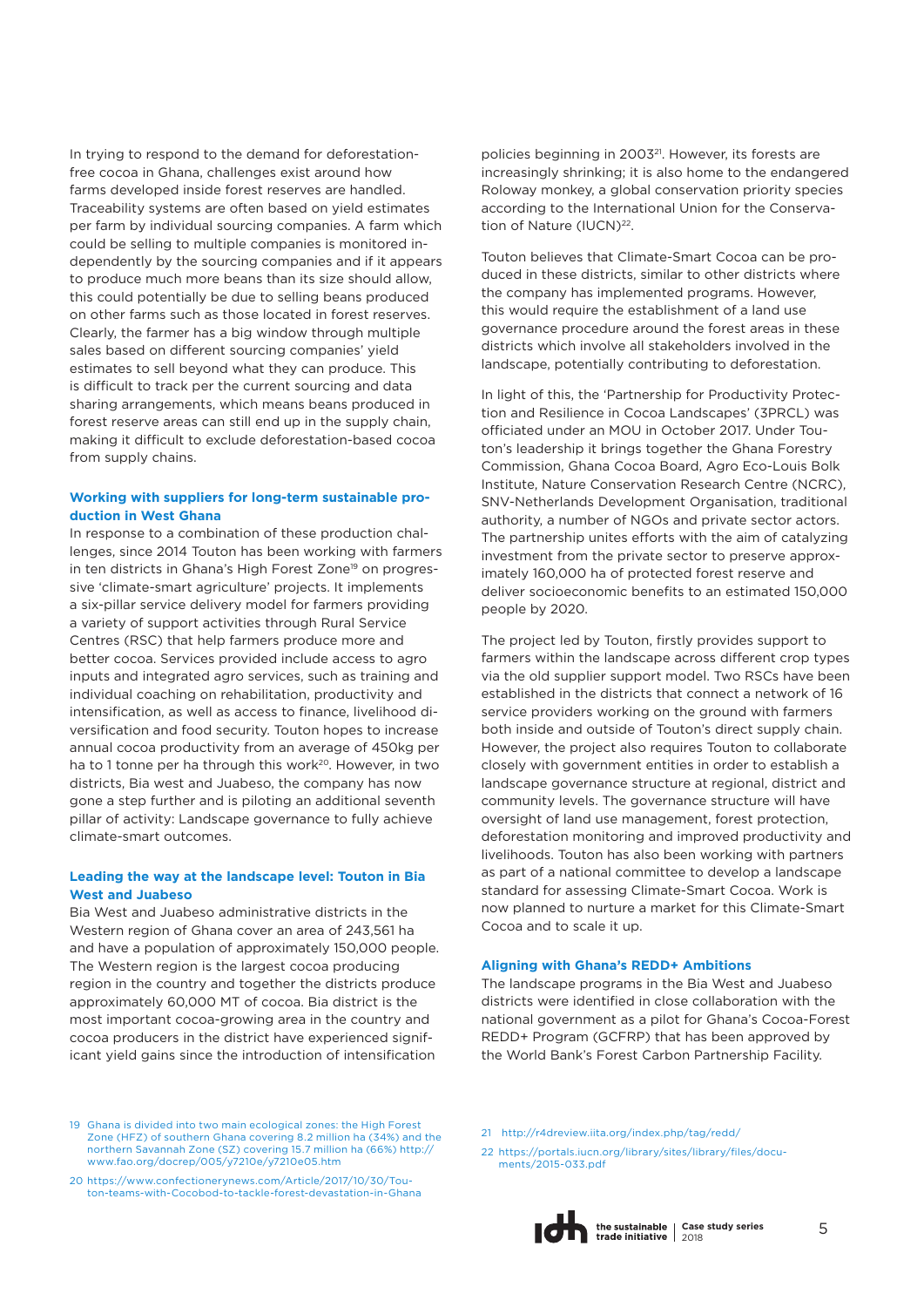In trying to respond to the demand for deforestationfree cocoa in Ghana, challenges exist around how farms developed inside forest reserves are handled. Traceability systems are often based on yield estimates per farm by individual sourcing companies. A farm which could be selling to multiple companies is monitored independently by the sourcing companies and if it appears to produce much more beans than its size should allow, this could potentially be due to selling beans produced on other farms such as those located in forest reserves. Clearly, the farmer has a big window through multiple sales based on different sourcing companies' yield estimates to sell beyond what they can produce. This is difficult to track per the current sourcing and data sharing arrangements, which means beans produced in forest reserve areas can still end up in the supply chain, making it difficult to exclude deforestation-based cocoa from supply chains.

#### **Working with suppliers for long-term sustainable production in West Ghana**

In response to a combination of these production challenges, since 2014 Touton has been working with farmers in ten districts in Ghana's High Forest Zone<sup>19</sup> on progressive 'climate-smart agriculture' projects. It implements a six-pillar service delivery model for farmers providing a variety of support activities through Rural Service Centres (RSC) that help farmers produce more and better cocoa. Services provided include access to agro inputs and integrated agro services, such as training and individual coaching on rehabilitation, productivity and intensification, as well as access to finance, livelihood diversification and food security. Touton hopes to increase annual cocoa productivity from an average of 450kg per ha to 1 tonne per ha through this work<sup>20</sup>. However, in two districts, Bia west and Juabeso, the company has now gone a step further and is piloting an additional seventh pillar of activity: Landscape governance to fully achieve climate-smart outcomes.

#### **Leading the way at the landscape level: Touton in Bia West and Juabeso**

Bia West and Juabeso administrative districts in the Western region of Ghana cover an area of 243,561 ha and have a population of approximately 150,000 people. The Western region is the largest cocoa producing region in the country and together the districts produce approximately 60,000 MT of cocoa. Bia district is the most important cocoa-growing area in the country and cocoa producers in the district have experienced significant yield gains since the introduction of intensification

policies beginning in 2003<sup>21</sup>. However, its forests are increasingly shrinking; it is also home to the endangered Roloway monkey, a global conservation priority species according to the International Union for the Conservation of Nature (IUCN)<sup>22</sup>.

Touton believes that Climate-Smart Cocoa can be produced in these districts, similar to other districts where the company has implemented programs. However, this would require the establishment of a land use governance procedure around the forest areas in these districts which involve all stakeholders involved in the landscape, potentially contributing to deforestation.

In light of this, the 'Partnership for Productivity Protection and Resilience in Cocoa Landscapes' (3PRCL) was officiated under an MOU in October 2017. Under Touton's leadership it brings together the Ghana Forestry Commission, Ghana Cocoa Board, Agro Eco-Louis Bolk Institute, Nature Conservation Research Centre (NCRC), SNV-Netherlands Development Organisation, traditional authority, a number of NGOs and private sector actors. The partnership unites efforts with the aim of catalyzing investment from the private sector to preserve approximately 160,000 ha of protected forest reserve and deliver socioeconomic benefits to an estimated 150,000 people by 2020.

The project led by Touton, firstly provides support to farmers within the landscape across different crop types via the old supplier support model. Two RSCs have been established in the districts that connect a network of 16 service providers working on the ground with farmers both inside and outside of Touton's direct supply chain. However, the project also requires Touton to collaborate closely with government entities in order to establish a landscape governance structure at regional, district and community levels. The governance structure will have oversight of land use management, forest protection, deforestation monitoring and improved productivity and livelihoods. Touton has also been working with partners as part of a national committee to develop a landscape standard for assessing Climate-Smart Cocoa. Work is now planned to nurture a market for this Climate-Smart Cocoa and to scale it up.

#### **Aligning with Ghana's REDD+ Ambitions**

The landscape programs in the Bia West and Juabeso districts were identified in close collaboration with the national government as a pilot for Ghana's Cocoa-Forest REDD+ Program (GCFRP) that has been approved by the World Bank's Forest Carbon Partnership Facility.

- 19 Ghana is divided into two main ecological zones: the High Forest [Zone \(HFZ\) of southern Ghana covering 8.2 million ha \(34%\) and the](Ghana is divided into two main ecological zones: the High Forest Zone (HFZ) of southern Ghana covering 8.2 million ha (34%) and the northern Savannah Zone (SZ) covering 15.7 million ha (66%) http://www.fao.org/docrep/005/y7210e/y7210e05.htm)  northern Savannah Zone (SZ) covering 15.7 million ha (66%) http:// www.fao.org/docrep/005/y7210e/y7210e05.htm
- 20 https://www.confectionerynews.com/Article/2017/10/30/Tou[ton-teams-with-Cocobod-to-tackle-forest-devastation-in-Ghana](https://www.confectionerynews.com/Article/2017/10/30/Touton-teams-with-Cocobod-to-tackle-forest-devastation-in-Ghana)
- [21 http://r4dreview.iita.org/index.php/tag/redd/](http://r4dreview.iita.org/index.php/tag/redd/)
- 22 [https://portals.iucn.org/library/sites/library/files/docu](https://portals.iucn.org/library/sites/library/files/documents/2015-033.pdf)ments/2015-033.pdf

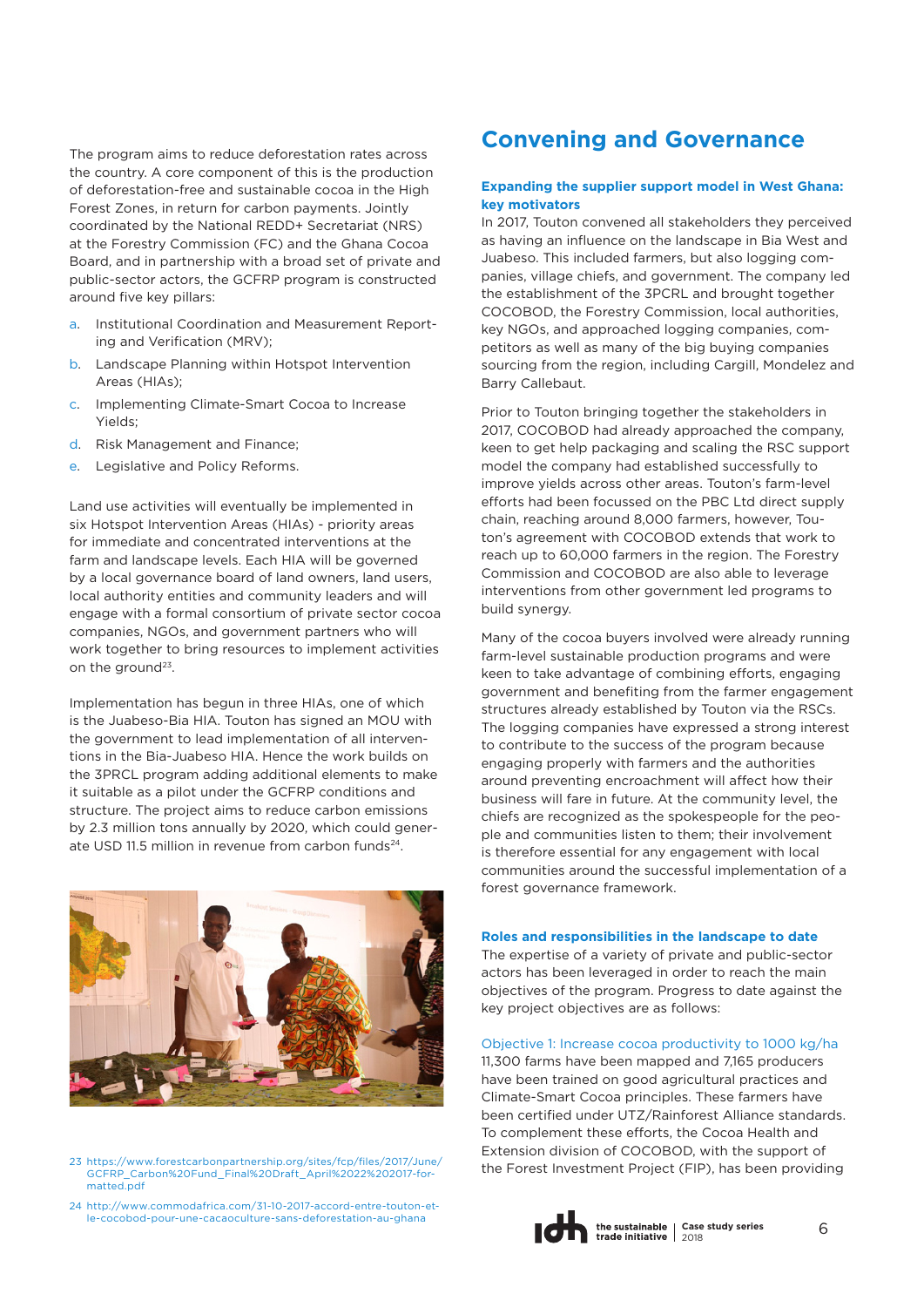The program aims to reduce deforestation rates across the country. A core component of this is the production of deforestation-free and sustainable cocoa in the High Forest Zones, in return for carbon payments. Jointly coordinated by the National REDD+ Secretariat (NRS) at the Forestry Commission (FC) and the Ghana Cocoa Board, and in partnership with a broad set of private and public-sector actors, the GCFRP program is constructed around five key pillars:

- a. Institutional Coordination and Measurement Reporting and Verification (MRV);
- b. Landscape Planning within Hotspot Intervention Areas (HIAs);
- c. Implementing Climate-Smart Cocoa to Increase Yields;
- d. Risk Management and Finance;
- e. Legislative and Policy Reforms.

Land use activities will eventually be implemented in six Hotspot Intervention Areas (HIAs) - priority areas for immediate and concentrated interventions at the farm and landscape levels. Each HIA will be governed by a local governance board of land owners, land users, local authority entities and community leaders and will engage with a formal consortium of private sector cocoa companies, NGOs, and government partners who will work together to bring resources to implement activities on the ground<sup>23</sup>.

Implementation has begun in three HIAs, one of which is the Juabeso-Bia HIA. Touton has signed an MOU with the government to lead implementation of all interventions in the Bia-Juabeso HIA. Hence the work builds on the 3PRCL program adding additional elements to make it suitable as a pilot under the GCFRP conditions and structure. The project aims to reduce carbon emissions by 2.3 million tons annually by 2020, which could generate USD 11.5 million in revenue from carbon funds<sup>24</sup>.



23 [https://www.forestcarbonpartnership.org/sites/fcp/files/2017/June/](https://www.forestcarbonpartnership.org/sites/fcp/files/2017/June/GCFRP_Carbon%20Fund_Final%20Draft_April%2022%202017-formatted.pdf) GCFRP\_Carbon%20Fund\_Final%20Draft\_April%2022%202017-formatted.pdf

24 [http://www.commodafrica.com/31-10-2017-accord-entre-touton-et](http://www.commodafrica.com/31-10-2017-accord-entre-touton-et-le-cocobod-pour-une-cacaoculture-sans-deforestation-au-ghana)le-cocobod-pour-une-cacaoculture-sans-deforestation-au-ghana

# **Convening and Governance**

#### **Expanding the supplier support model in West Ghana: key motivators**

In 2017, Touton convened all stakeholders they perceived as having an influence on the landscape in Bia West and Juabeso. This included farmers, but also logging companies, village chiefs, and government. The company led the establishment of the 3PCRL and brought together COCOBOD, the Forestry Commission, local authorities, key NGOs, and approached logging companies, competitors as well as many of the big buying companies sourcing from the region, including Cargill, Mondelez and Barry Callebaut.

Prior to Touton bringing together the stakeholders in 2017, COCOBOD had already approached the company, keen to get help packaging and scaling the RSC support model the company had established successfully to improve yields across other areas. Touton's farm-level efforts had been focussed on the PBC Ltd direct supply chain, reaching around 8,000 farmers, however, Touton's agreement with COCOBOD extends that work to reach up to 60,000 farmers in the region. The Forestry Commission and COCOBOD are also able to leverage interventions from other government led programs to build synergy.

Many of the cocoa buyers involved were already running farm-level sustainable production programs and were keen to take advantage of combining efforts, engaging government and benefiting from the farmer engagement structures already established by Touton via the RSCs. The logging companies have expressed a strong interest to contribute to the success of the program because engaging properly with farmers and the authorities around preventing encroachment will affect how their business will fare in future. At the community level, the chiefs are recognized as the spokespeople for the people and communities listen to them; their involvement is therefore essential for any engagement with local communities around the successful implementation of a forest governance framework.

#### **Roles and responsibilities in the landscape to date**

The expertise of a variety of private and public-sector actors has been leveraged in order to reach the main objectives of the program. Progress to date against the key project objectives are as follows:

#### Objective 1: Increase cocoa productivity to 1000 kg/ha

11,300 farms have been mapped and 7,165 producers have been trained on good agricultural practices and Climate-Smart Cocoa principles. These farmers have been certified under UTZ/Rainforest Alliance standards. To complement these efforts, the Cocoa Health and Extension division of COCOBOD, with the support of the Forest Investment Project (FIP), has been providing

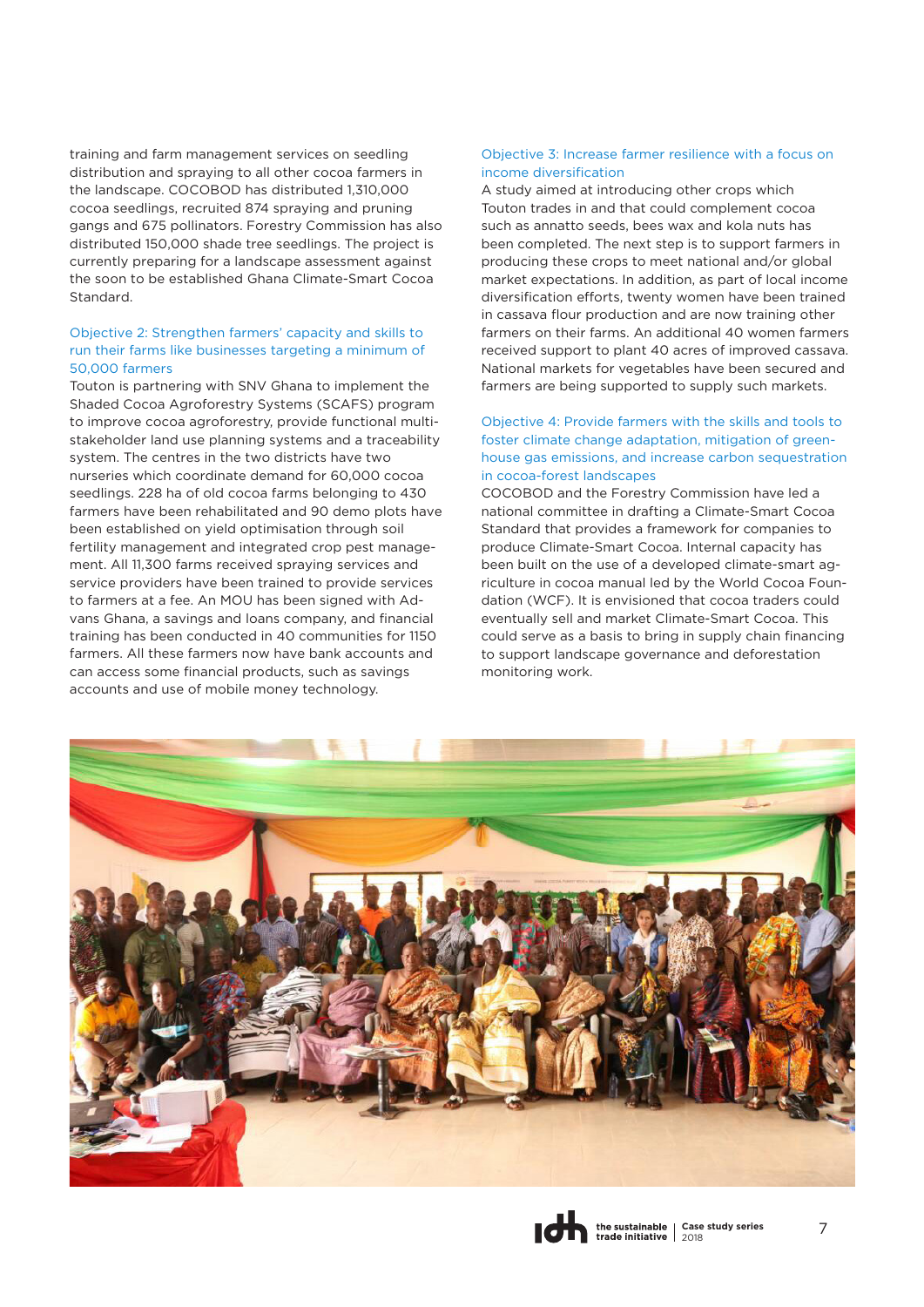training and farm management services on seedling distribution and spraying to all other cocoa farmers in the landscape. COCOBOD has distributed 1,310,000 cocoa seedlings, recruited 874 spraying and pruning gangs and 675 pollinators. Forestry Commission has also distributed 150,000 shade tree seedlings. The project is currently preparing for a landscape assessment against the soon to be established Ghana Climate-Smart Cocoa Standard.

#### Objective 2: Strengthen farmers' capacity and skills to run their farms like businesses targeting a minimum of 50,000 farmers

Touton is partnering with SNV Ghana to implement the Shaded Cocoa Agroforestry Systems (SCAFS) program to improve cocoa agroforestry, provide functional multistakeholder land use planning systems and a traceability system. The centres in the two districts have two nurseries which coordinate demand for 60,000 cocoa seedlings. 228 ha of old cocoa farms belonging to 430 farmers have been rehabilitated and 90 demo plots have been established on yield optimisation through soil fertility management and integrated crop pest management. All 11,300 farms received spraying services and service providers have been trained to provide services to farmers at a fee. An MOU has been signed with Advans Ghana, a savings and loans company, and financial training has been conducted in 40 communities for 1150 farmers. All these farmers now have bank accounts and can access some financial products, such as savings accounts and use of mobile money technology.

#### Objective 3: Increase farmer resilience with a focus on income diversification

A study aimed at introducing other crops which Touton trades in and that could complement cocoa such as annatto seeds, bees wax and kola nuts has been completed. The next step is to support farmers in producing these crops to meet national and/or global market expectations. In addition, as part of local income diversification efforts, twenty women have been trained in cassava flour production and are now training other farmers on their farms. An additional 40 women farmers received support to plant 40 acres of improved cassava. National markets for vegetables have been secured and farmers are being supported to supply such markets.

#### Objective 4: Provide farmers with the skills and tools to foster climate change adaptation, mitigation of greenhouse gas emissions, and increase carbon sequestration in cocoa-forest landscapes

COCOBOD and the Forestry Commission have led a national committee in drafting a Climate-Smart Cocoa Standard that provides a framework for companies to produce Climate-Smart Cocoa. Internal capacity has been built on the use of a developed climate-smart agriculture in cocoa manual led by the World Cocoa Foundation (WCF). It is envisioned that cocoa traders could eventually sell and market Climate-Smart Cocoa. This could serve as a basis to bring in supply chain financing to support landscape governance and deforestation monitoring work.

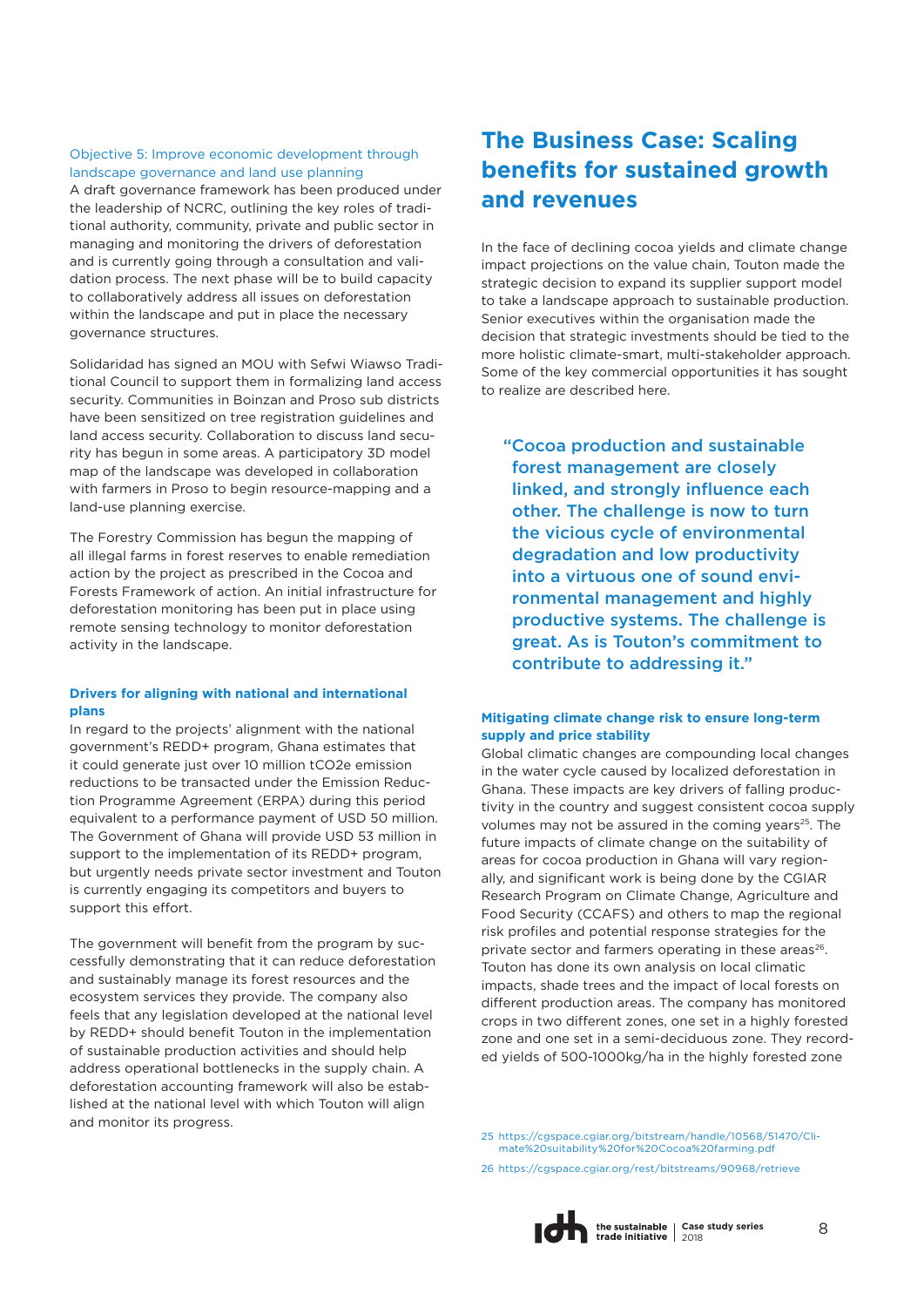#### Objective 5: Improve economic development through landscape governance and land use planning

A draft governance framework has been produced under the leadership of NCRC, outlining the key roles of traditional authority, community, private and public sector in managing and monitoring the drivers of deforestation and is currently going through a consultation and validation process. The next phase will be to build capacity to collaboratively address all issues on deforestation within the landscape and put in place the necessary governance structures.

Solidaridad has signed an MOU with Sefwi Wiawso Traditional Council to support them in formalizing land access security. Communities in Boinzan and Proso sub districts have been sensitized on tree registration guidelines and land access security. Collaboration to discuss land security has begun in some areas. A participatory 3D model map of the landscape was developed in collaboration with farmers in Proso to begin resource-mapping and a land-use planning exercise.

The Forestry Commission has begun the mapping of all illegal farms in forest reserves to enable remediation action by the project as prescribed in the Cocoa and Forests Framework of action. An initial infrastructure for deforestation monitoring has been put in place using remote sensing technology to monitor deforestation activity in the landscape.

#### **Drivers for aligning with national and international plans**

In regard to the projects' alignment with the national government's REDD+ program, Ghana estimates that it could generate just over 10 million tCO2e emission reductions to be transacted under the Emission Reduction Programme Agreement (ERPA) during this period equivalent to a performance payment of USD 50 million. The Government of Ghana will provide USD 53 million in support to the implementation of its REDD+ program, but urgently needs private sector investment and Touton is currently engaging its competitors and buyers to support this effort.

The government will benefit from the program by successfully demonstrating that it can reduce deforestation and sustainably manage its forest resources and the ecosystem services they provide. The company also feels that any legislation developed at the national level by REDD+ should benefit Touton in the implementation of sustainable production activities and should help address operational bottlenecks in the supply chain. A deforestation accounting framework will also be established at the national level with which Touton will align and monitor its progress.

# **The Business Case: Scaling benefits for sustained growth and revenues**

In the face of declining cocoa yields and climate change impact projections on the value chain, Touton made the strategic decision to expand its supplier support model to take a landscape approach to sustainable production. Senior executives within the organisation made the decision that strategic investments should be tied to the more holistic climate-smart, multi-stakeholder approach. Some of the key commercial opportunities it has sought to realize are described here.

"Cocoa production and sustainable forest management are closely linked, and strongly influence each other. The challenge is now to turn the vicious cycle of environmental degradation and low productivity into a virtuous one of sound environmental management and highly productive systems. The challenge is great. As is Touton's commitment to contribute to addressing it."

#### **Mitigating climate change risk to ensure long-term supply and price stability**

Global climatic changes are compounding local changes in the water cycle caused by localized deforestation in Ghana. These impacts are key drivers of falling productivity in the country and suggest consistent cocoa supply volumes may not be assured in the coming years<sup>25</sup>. The future impacts of climate change on the suitability of areas for cocoa production in Ghana will vary regionally, and significant work is being done by the CGIAR Research Program on Climate Change, Agriculture and Food Security (CCAFS) and others to map the regional risk profiles and potential response strategies for the private sector and farmers operating in these areas<sup>26</sup>. Touton has done its own analysis on local climatic impacts, shade trees and the impact of local forests on different production areas. The company has monitored crops in two different zones, one set in a highly forested zone and one set in a semi-deciduous zone. They recorded yields of 500-1000kg/ha in the highly forested zone

25 [https://cgspace.cgiar.org/bitstream/handle/10568/51470/Cli](https://cgspace.cgiar.org/bitstream/handle/10568/51470/Climate%20suitability%20for%20Cocoa%20farming.pdf)mate%20suitability%20for%20Cocoa%20farming.pdf

26 <https://cgspace.cgiar.org/rest/bitstreams/90968/retrieve>

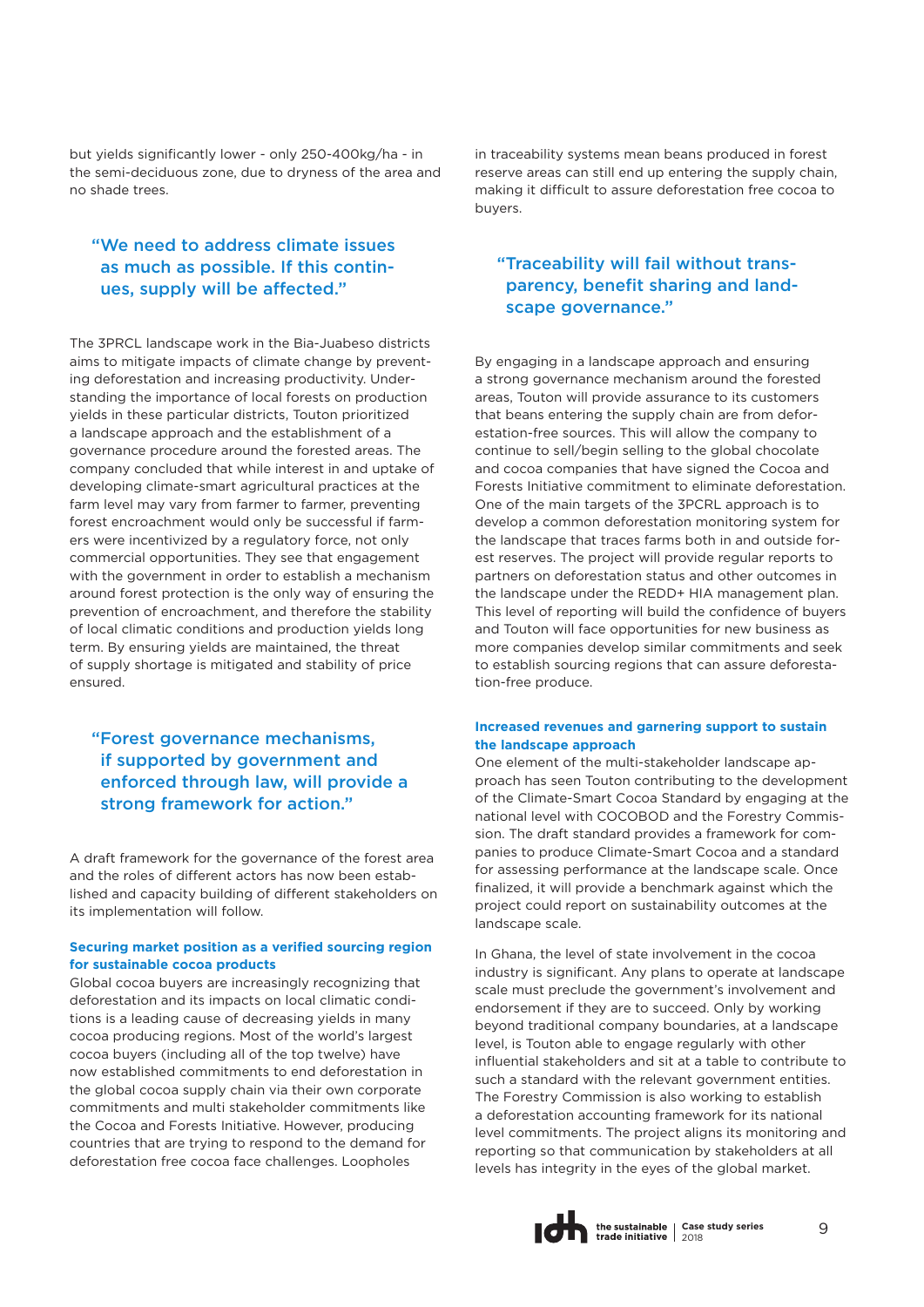but yields significantly lower - only 250-400kg/ha - in the semi-deciduous zone, due to dryness of the area and no shade trees.

### "We need to address climate issues as much as possible. If this continues, supply will be affected."

The 3PRCL landscape work in the Bia-Juabeso districts aims to mitigate impacts of climate change by preventing deforestation and increasing productivity. Understanding the importance of local forests on production yields in these particular districts, Touton prioritized a landscape approach and the establishment of a governance procedure around the forested areas. The company concluded that while interest in and uptake of developing climate-smart agricultural practices at the farm level may vary from farmer to farmer, preventing forest encroachment would only be successful if farmers were incentivized by a regulatory force, not only commercial opportunities. They see that engagement with the government in order to establish a mechanism around forest protection is the only way of ensuring the prevention of encroachment, and therefore the stability of local climatic conditions and production yields long term. By ensuring yields are maintained, the threat of supply shortage is mitigated and stability of price ensured.

### "Forest governance mechanisms, if supported by government and enforced through law, will provide a strong framework for action."

A draft framework for the governance of the forest area and the roles of different actors has now been established and capacity building of different stakeholders on its implementation will follow.

#### **Securing market position as a verified sourcing region for sustainable cocoa products**

Global cocoa buyers are increasingly recognizing that deforestation and its impacts on local climatic conditions is a leading cause of decreasing yields in many cocoa producing regions. Most of the world's largest cocoa buyers (including all of the top twelve) have now established commitments to end deforestation in the global cocoa supply chain via their own corporate commitments and multi stakeholder commitments like the Cocoa and Forests Initiative. However, producing countries that are trying to respond to the demand for deforestation free cocoa face challenges. Loopholes

in traceability systems mean beans produced in forest reserve areas can still end up entering the supply chain, making it difficult to assure deforestation free cocoa to buyers.

### "Traceability will fail without transparency, benefit sharing and landscape governance."

By engaging in a landscape approach and ensuring a strong governance mechanism around the forested areas, Touton will provide assurance to its customers that beans entering the supply chain are from deforestation-free sources. This will allow the company to continue to sell/begin selling to the global chocolate and cocoa companies that have signed the Cocoa and Forests Initiative commitment to eliminate deforestation. One of the main targets of the 3PCRL approach is to develop a common deforestation monitoring system for the landscape that traces farms both in and outside forest reserves. The project will provide regular reports to partners on deforestation status and other outcomes in the landscape under the REDD+ HIA management plan. This level of reporting will build the confidence of buyers and Touton will face opportunities for new business as more companies develop similar commitments and seek to establish sourcing regions that can assure deforestation-free produce.

#### **Increased revenues and garnering support to sustain the landscape approach**

One element of the multi-stakeholder landscape approach has seen Touton contributing to the development of the Climate-Smart Cocoa Standard by engaging at the national level with COCOBOD and the Forestry Commission. The draft standard provides a framework for companies to produce Climate-Smart Cocoa and a standard for assessing performance at the landscape scale. Once finalized, it will provide a benchmark against which the project could report on sustainability outcomes at the landscape scale.

In Ghana, the level of state involvement in the cocoa industry is significant. Any plans to operate at landscape scale must preclude the government's involvement and endorsement if they are to succeed. Only by working beyond traditional company boundaries, at a landscape level, is Touton able to engage regularly with other influential stakeholders and sit at a table to contribute to such a standard with the relevant government entities. The Forestry Commission is also working to establish a deforestation accounting framework for its national level commitments. The project aligns its monitoring and reporting so that communication by stakeholders at all levels has integrity in the eyes of the global market.

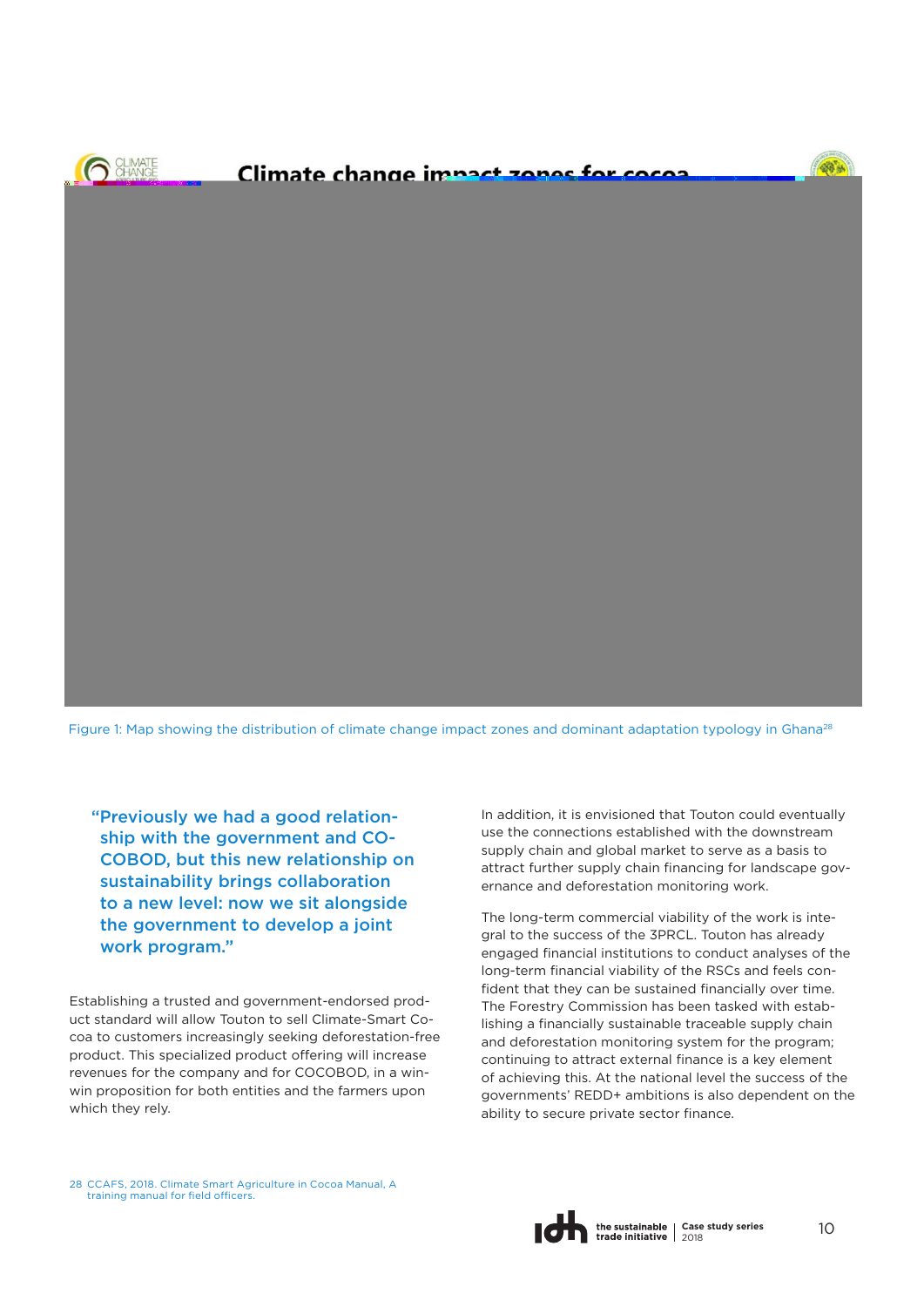Figure 1: Map showing the distribution of climate change impact zones and dominant adaptation typology in Ghana<sup>28</sup>

"Previously we had a good relationship with the government and CO-COBOD, but this new relationship on sustainability brings collaboration to a new level: now we sit alongside the government to develop a joint work program."

Establishing a trusted and government-endorsed product standard will allow Touton to sell Climate-Smart Cocoa to customers increasingly seeking deforestation-free product. This specialized product offering will increase revenues for the company and for COCOBOD, in a winwin proposition for both entities and the farmers upon which they rely.

In addition, it is envisioned that Touton could eventually use the connections established with the downstream supply chain and global market to serve as a basis to attract further supply chain financing for landscape governance and deforestation monitoring work.

The long-term commercial viability of the work is integral to the success of the 3PRCL. Touton has already engaged financial institutions to conduct analyses of the long-term financial viability of the RSCs and feels confident that they can be sustained financially over time. The Forestry Commission has been tasked with establishing a financially sustainable traceable supply chain and deforestation monitoring system for the program; continuing to attract external finance is a key element of achieving this. At the national level the success of the governments' REDD+ ambitions is also dependent on the ability to secure private sector finance.

28 [CCAFS, 2018. Climate Smart Agriculture in Cocoa Manual, A](CCAFS, 2018. Climate Smart Agriculture in Cocoa Manual, A training manual for field officers.)  training manual for field officers.

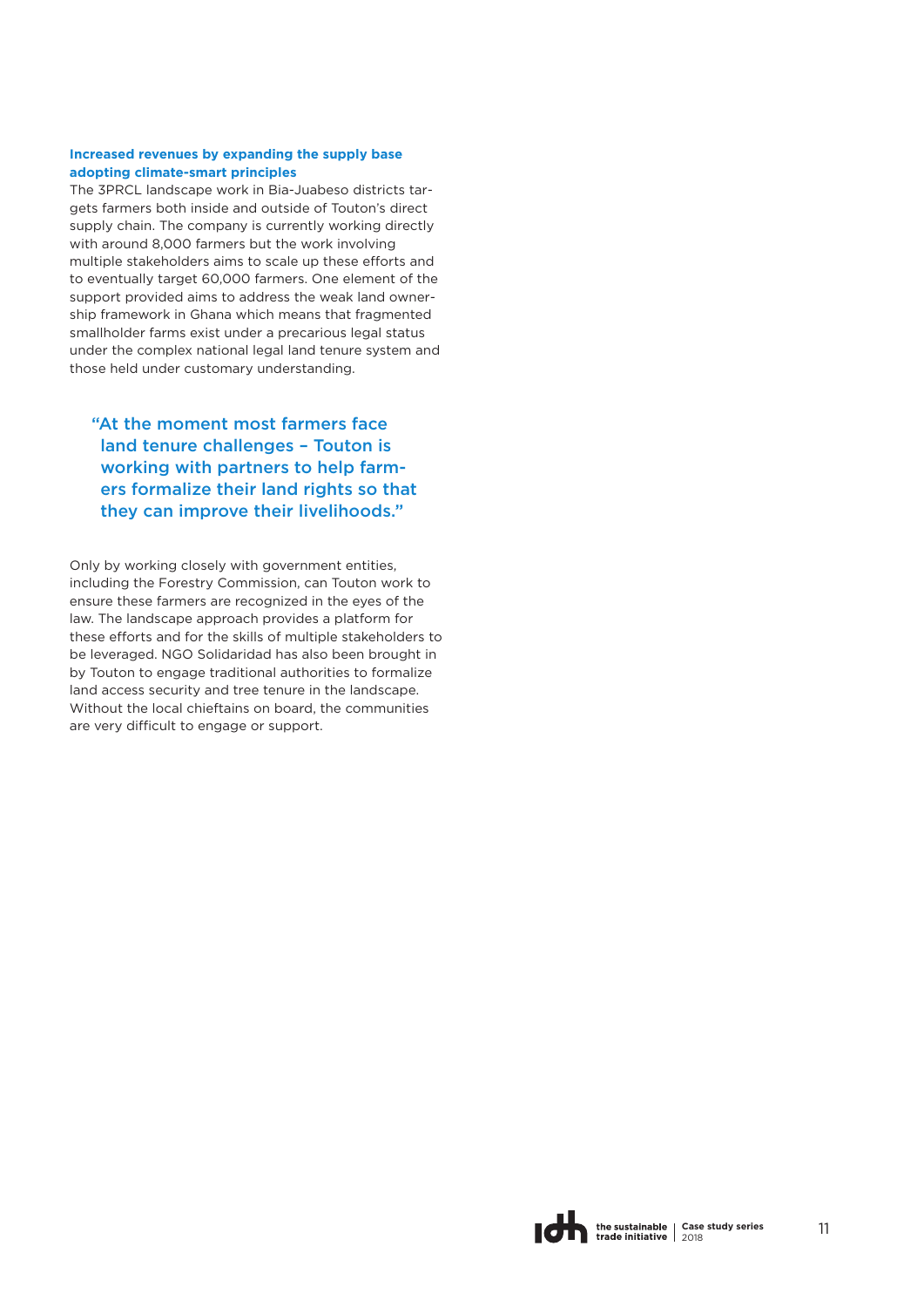#### **Increased revenues by expanding the supply base adopting climate-smart principles**

The 3PRCL landscape work in Bia-Juabeso districts targets farmers both inside and outside of Touton's direct supply chain. The company is currently working directly with around 8,000 farmers but the work involving multiple stakeholders aims to scale up these efforts and to eventually target 60,000 farmers. One element of the support provided aims to address the weak land ownership framework in Ghana which means that fragmented smallholder farms exist under a precarious legal status under the complex national legal land tenure system and those held under customary understanding.

### "At the moment most farmers face land tenure challenges – Touton is working with partners to help farmers formalize their land rights so that they can improve their livelihoods."

Only by working closely with government entities, including the Forestry Commission, can Touton work to ensure these farmers are recognized in the eyes of the law. The landscape approach provides a platform for these efforts and for the skills of multiple stakeholders to be leveraged. NGO Solidaridad has also been brought in by Touton to engage traditional authorities to formalize land access security and tree tenure in the landscape. Without the local chieftains on board, the communities are very difficult to engage or support.